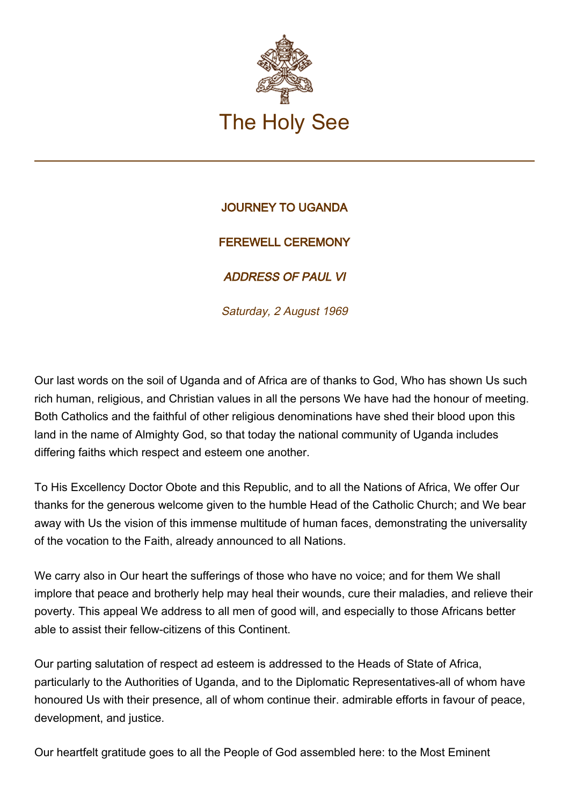

## JOURNEY TO UGANDA FEREWELL CEREMONY ADDRESS OF PAUL VI

Saturday, 2 August 1969

Our last words on the soil of Uganda and of Africa are of thanks to God, Who has shown Us such rich human, religious, and Christian values in all the persons We have had the honour of meeting. Both Catholics and the faithful of other religious denominations have shed their blood upon this land in the name of Almighty God, so that today the national community of Uganda includes differing faiths which respect and esteem one another.

To His Excellency Doctor Obote and this Republic, and to all the Nations of Africa, We offer Our thanks for the generous welcome given to the humble Head of the Catholic Church; and We bear away with Us the vision of this immense multitude of human faces, demonstrating the universality of the vocation to the Faith, already announced to all Nations.

We carry also in Our heart the sufferings of those who have no voice; and for them We shall implore that peace and brotherly help may heal their wounds, cure their maladies, and relieve their poverty. This appeal We address to all men of good will, and especially to those Africans better able to assist their fellow-citizens of this Continent.

Our parting salutation of respect ad esteem is addressed to the Heads of State of Africa, particularly to the Authorities of Uganda, and to the Diplomatic Representatives-all of whom have honoured Us with their presence, all of whom continue their. admirable efforts in favour of peace, development, and justice.

Our heartfelt gratitude goes to all the People of God assembled here: to the Most Eminent